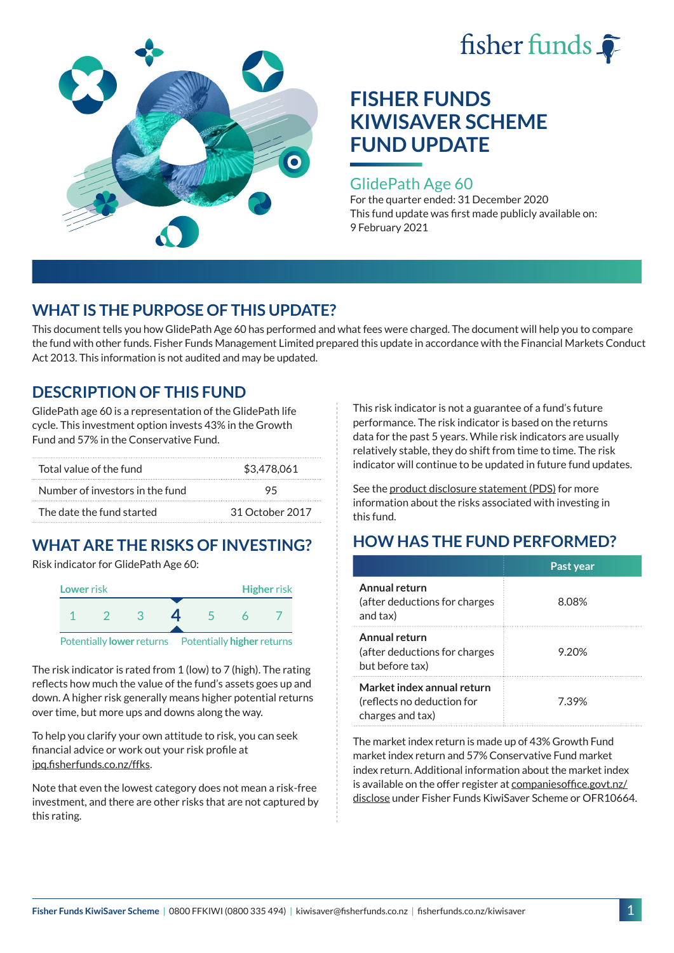



#### GlidePath Age 60

For the quarter ended: 31 December 2020 This fund update was first made publicly available on: 9 February 2021

## **WHAT IS THE PURPOSE OF THIS UPDATE?**

This document tells you how GlidePath Age 60 has performed and what fees were charged. The document will help you to compare the fund with other funds. Fisher Funds Management Limited prepared this update in accordance with the Financial Markets Conduct Act 2013. This information is not audited and may be updated.

## **DESCRIPTION OF THIS FUND**

GlidePath age 60 is a representation of the GlidePath life cycle. This investment option invests 43% in the Growth Fund and 57% in the Conservative Fund.

| Total value of the fund         | \$3,478,061     |  |
|---------------------------------|-----------------|--|
| Number of investors in the fund | 95              |  |
| The date the fund started       | 31 October 2017 |  |

# **WHAT ARE THE RISKS OF INVESTING?**

Risk indicator for GlidePath Age 60:



The risk indicator is rated from 1 (low) to 7 (high). The rating

reflects how much the value of the fund's assets goes up and down. A higher risk generally means higher potential returns over time, but more ups and downs along the way.

To help you clarify your own attitude to risk, you can seek financial advice or work out your risk profile at [ipq.fisherfunds.co.nz/ffks](https://ipq.fisherfunds.co.nz/ffks).

Note that even the lowest category does not mean a risk-free investment, and there are other risks that are not captured by this rating.

This risk indicator is not a guarantee of a fund's future performance. The risk indicator is based on the returns data for the past 5 years. While risk indicators are usually relatively stable, they do shift from time to time. The risk indicator will continue to be updated in future fund updates.

See the [product disclosure statement \(PDS\)](https://fisherfunds.co.nz/assets/PDS/Fisher-Funds-KiwiSaver-Scheme-PDS.pdf) for more information about the risks associated with investing in this fund.

# **HOW HAS THE FUND PERFORMED?**

|                                                                              | Past year |
|------------------------------------------------------------------------------|-----------|
| Annual return<br>(after deductions for charges<br>and tax)                   | 8.08%     |
| Annual return<br>(after deductions for charges<br>but before tax)            | 9.20%     |
| Market index annual return<br>(reflects no deduction for<br>charges and tax) | 7.39%     |

The market index return is made up of 43% Growth Fund market index return and 57% Conservative Fund market index return. Additional information about the market index is available on the offer register at [companiesoffice.govt.nz/](http://companiesoffice.govt.nz/disclose) [disclose](http://companiesoffice.govt.nz/disclose) under Fisher Funds KiwiSaver Scheme or OFR10664.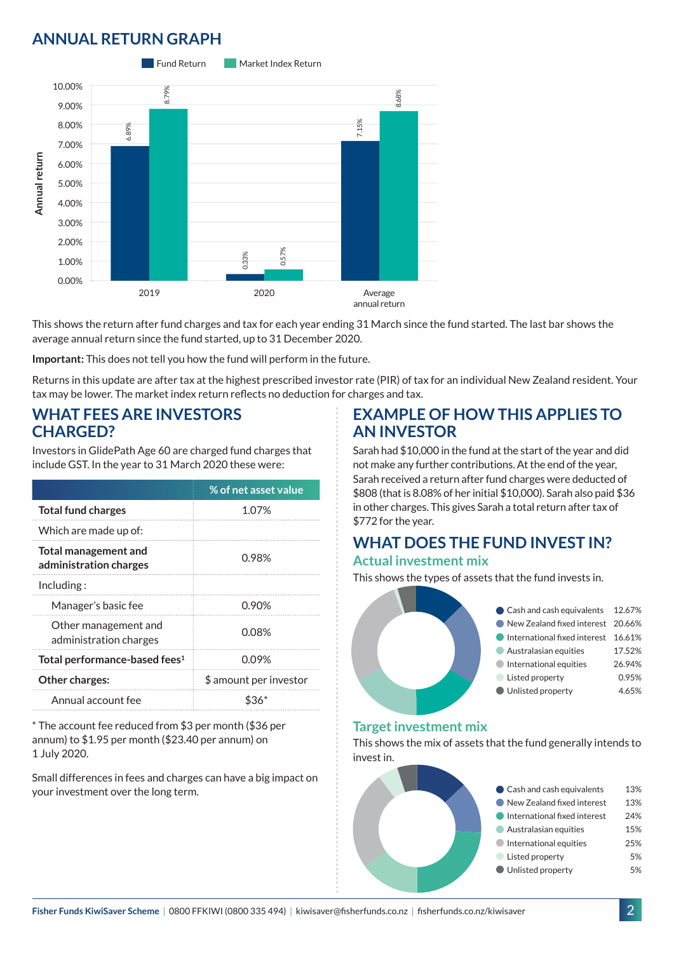# **ANNUAL RETURN GRAPH**



This shows the return after fund charges and tax for each year ending 31 March since the fund started. The last bar shows the average annual return since the fund started, up to 31 December 2020.

**Important:** This does not tell you how the fund will perform in the future.

Returns in this update are after tax at the highest prescribed investor rate (PIR) of tax for an individual New Zealand resident. Your tax may be lower. The market index return reflects no deduction for charges and tax.

#### **WHAT FEES ARE INVESTORS CHARGED?**

Investors in GlidePath Age 60 are charged fund charges that include GST. In the year to 31 March 2020 these were:

|                                                       | % of net asset value   |  |
|-------------------------------------------------------|------------------------|--|
| <b>Total fund charges</b>                             | 1.07%                  |  |
| Which are made up of:                                 |                        |  |
| <b>Total management and</b><br>administration charges | 0.98%                  |  |
| Inding:                                               |                        |  |
| Manager's basic fee                                   | 0.90%                  |  |
| Other management and<br>administration charges        | 0.08%                  |  |
| Total performance-based fees <sup>1</sup>             | 0.09%                  |  |
| Other charges:                                        | \$ amount per investor |  |
| Annual account fee                                    |                        |  |

\* The account fee reduced from \$3 per month (\$36 per annum) to \$1.95 per month (\$23.40 per annum) on 1 July 2020.

Small differences in fees and charges can have a big impact on your investment over the long term.

#### **EXAMPLE OF HOW THIS APPLIES TO AN INVESTOR**

Sarah had \$10,000 in the fund at the start of the year and did not make any further contributions. At the end of the year, Sarah received a return after fund charges were deducted of \$808 (that is 8.08% of her initial \$10,000). Sarah also paid \$36 in other charges. This gives Sarah a total return after tax of \$772 for the year.

## **WHAT DOES THE FUND INVEST IN? Actual investment mix**

This shows the types of assets that the fund invests in.



#### **Target investment mix**

This shows the mix of assets that the fund generally intends to invest in.